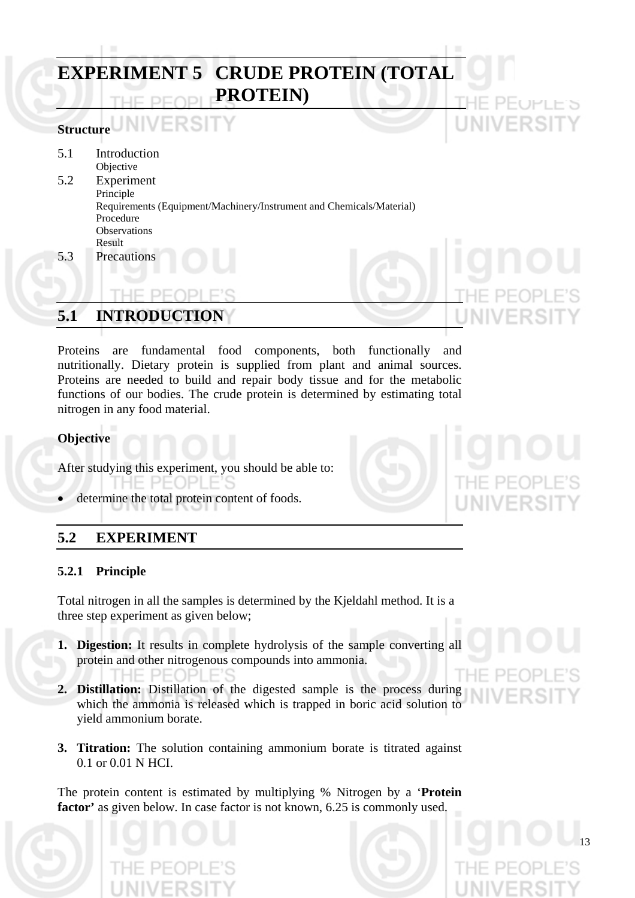|     | <b>EXPERIMENT 5 CRUDE PROTEIN (TOTAL</b><br><b>PROTEIN</b> )                      | <b>IHE PEOPLE'S</b> |
|-----|-----------------------------------------------------------------------------------|---------------------|
|     | <b>Structure WIVERSITY</b>                                                        | <b>UNIVERSITY</b>   |
| 5.1 | Introduction<br>Objective                                                         |                     |
| 5.2 | Experiment<br>Principle                                                           |                     |
|     | Requirements (Equipment/Machinery/Instrument and Chemicals/Material)<br>Procedure |                     |
|     | Observations                                                                      |                     |
| 5.3 | Result<br>Precautions                                                             | qno                 |
|     |                                                                                   | PFOF                |
| 5.1 | <b>INTRODUCTION</b>                                                               | UNIVERSITY          |

Proteins are fundamental food components, both functionally and nutritionally. Dietary protein is supplied from plant and animal sources. Proteins are needed to build and repair body tissue and for the metabolic functions of our bodies. The crude protein is determined by estimating total nitrogen in any food material.

### **Objective**

After studying this experiment, you should be able to:

- HF.  $PFOPI$ F'S
- determine the total protein content of foods.

# **5.2 EXPERIMENT**

HE PE(

### **5.2.1 Principle**

Total nitrogen in all the samples is determined by the Kjeldahl method. It is a three step experiment as given below;

- **1. Digestion:** It results in complete hydrolysis of the sample converting all protein and other nitrogenous compounds into ammonia.
- **2. Distillation:** Distillation of the digested sample is the process during which the ammonia is released which is trapped in boric acid solution to yield ammonium borate.
- **3. Titration:** The solution containing ammonium borate is titrated against 0.1 or 0.01 N HCI.

The protein content is estimated by multiplying % Nitrogen by a '**Protein**  factor' as given below. In case factor is not known, 6.25 is commonly used.



13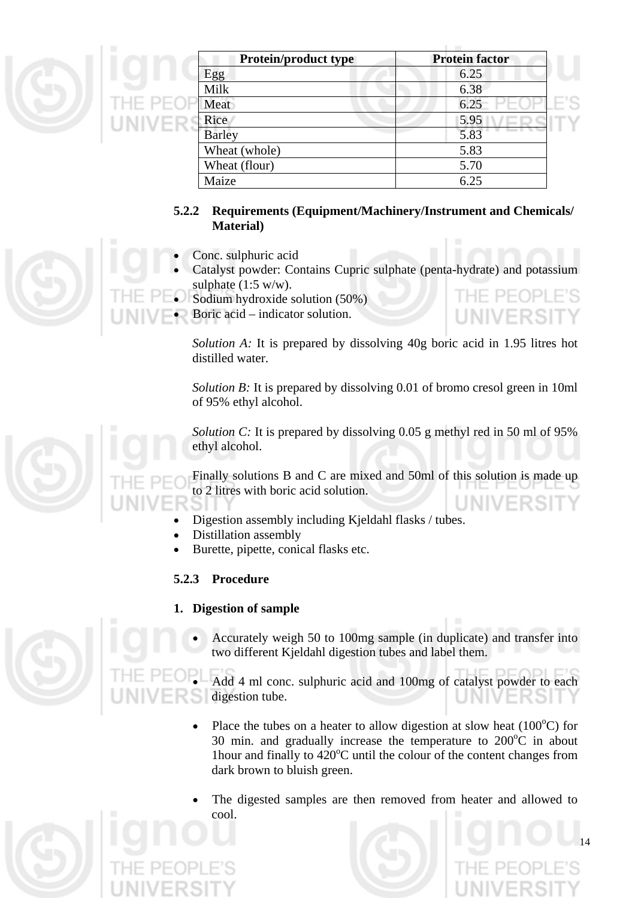|   | ×      | <b>Protein/product type</b> | <b>Protein factor</b> |
|---|--------|-----------------------------|-----------------------|
|   |        | Egg                         | 6.25                  |
| ۳ |        | Milk                        | 6.38                  |
|   | HE PEC | Meat                        | 6.25                  |
|   | UNIVER | Rice                        | 5.95                  |
|   |        | <b>Barley</b>               | 5.83                  |
|   |        | Wheat (whole)               | 5.83                  |
|   |        | Wheat (flour)               | 5.70                  |
|   |        | Maize                       | 6.25                  |

# **5.2.2 Requirements (Equipment/Machinery/Instrument and Chemicals/ Material)**

- Conc. sulphuric acid
- Catalyst powder: Contains Cupric sulphate (penta-hydrate) and potassium sulphate  $(1:5 \text{ w/w})$ .
- Sodium hydroxide solution (50%)
- Boric acid indicator solution.

*Solution A:* It is prepared by dissolving 40g boric acid in 1.95 litres hot distilled water.

JIVERS

*Solution B*: It is prepared by dissolving 0.01 of bromo cresol green in 10ml of 95% ethyl alcohol.

*Solution C:* It is prepared by dissolving 0.05 g methyl red in 50 ml of 95% ethyl alcohol.

Finally solutions B and C are mixed and 50ml of this solution is made up to 2 litres with boric acid solution.

- Digestion assembly including Kjeldahl flasks / tubes.
- Distillation assembly
- Burette, pipette, conical flasks etc.

# **5.2.3 Procedure**

# **1. Digestion of sample**

• Accurately weigh 50 to 100mg sample (in duplicate) and transfer into two different Kjeldahl digestion tubes and label them.

Add 4 ml conc. sulphuric acid and 100mg of catalyst powder to each digestion tube.

- Place the tubes on a heater to allow digestion at slow heat  $(100^{\circ}C)$  for 30 min. and gradually increase the temperature to  $200^{\circ}$ C in about 1hour and finally to  $420^{\circ}$ C until the colour of the content changes from dark brown to bluish green.
- The digested samples are then removed from heater and allowed to cool.

14





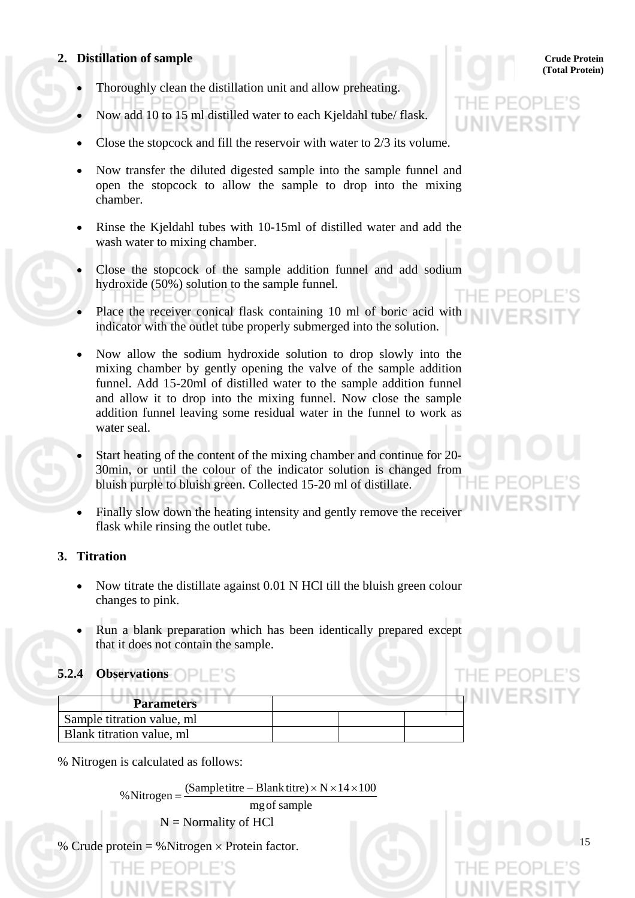### **2. Distillation of sample Crude Protein Crude Protein Crude Protein Crude Protein**

- Thoroughly clean the distillation unit and allow preheating.
- Now add 10 to 15 ml distilled water to each Kjeldahl tube/ flask.
- Close the stopcock and fill the reservoir with water to 2/3 its volume.
- Now transfer the diluted digested sample into the sample funnel and open the stopcock to allow the sample to drop into the mixing chamber.
- Rinse the Kjeldahl tubes with 10-15ml of distilled water and add the wash water to mixing chamber.
- Close the stopcock of the sample addition funnel and add sodium hydroxide (50%) solution to the sample funnel.
- Place the receiver conical flask containing 10 ml of boric acid with indicator with the outlet tube properly submerged into the solution.
- Now allow the sodium hydroxide solution to drop slowly into the mixing chamber by gently opening the valve of the sample addition funnel. Add 15-20ml of distilled water to the sample addition funnel and allow it to drop into the mixing funnel. Now close the sample addition funnel leaving some residual water in the funnel to work as water seal.
- Start heating of the content of the mixing chamber and continue for 20- 30min, or until the colour of the indicator solution is changed from bluish purple to bluish green. Collected 15-20 ml of distillate.
- Finally slow down the heating intensity and gently remove the receiver flask while rinsing the outlet tube.

#### **3. Titration**

- Now titrate the distillate against 0.01 N HCl till the bluish green colour changes to pink.
- Run a blank preparation which has been identically prepared except that it does not contain the sample.

# **5.2.4 Observations**

| <b>Parameters</b>          |  |  |
|----------------------------|--|--|
| Sample titration value, ml |  |  |
| Blank titration value, ml  |  |  |

% Nitrogen is calculated as follows:

% Nitrogen =  $\frac{\text{(Sample titre} - \text{blank titre}) \times \text{N} \times 14 \times 100}{\text{mg of sample}}$ 

 $N =$  Normality of HCl

% Crude protein = % Nitrogen  $\times$  Protein factor.

# **(Total Protein)**

15